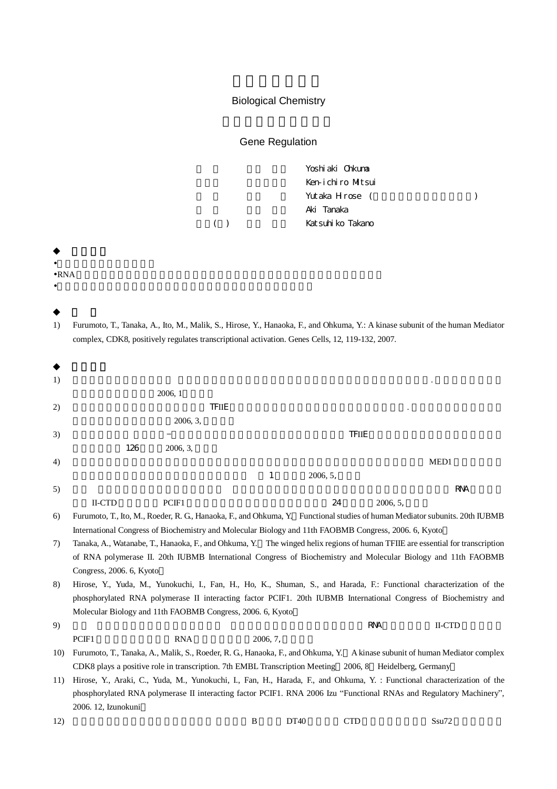## Biological Chemistry

Gene Regulation

Yoshiaki Ohkuma Ken-ichiro Mitsui Yutaka Hirose ( ) Aki Tanaka ( ) Katsuhiko Takano

•

•RNA •

1) Furumoto, T., Tanaka, A., Ito, M., Malik, S., Hirose, Y., Hanaoka, F., and Ohkuma, Y.: A kinase subunit of the human Mediator complex, CDK8, positively regulates transcriptional activation. Genes Cells, 12, 119-132, 2007.

| 1)  |                                                                                                                               |                                                            |              |          |              |            |                                                                                                                             |  |  |
|-----|-------------------------------------------------------------------------------------------------------------------------------|------------------------------------------------------------|--------------|----------|--------------|------------|-----------------------------------------------------------------------------------------------------------------------------|--|--|
|     |                                                                                                                               | 2006, 1                                                    |              |          |              |            |                                                                                                                             |  |  |
| 2)  |                                                                                                                               |                                                            | <b>TFIIE</b> |          |              |            |                                                                                                                             |  |  |
|     |                                                                                                                               | 2006, 3,                                                   |              |          |              |            |                                                                                                                             |  |  |
| 3)  |                                                                                                                               |                                                            |              |          | <b>TFIIE</b> |            |                                                                                                                             |  |  |
|     | 126                                                                                                                           | 2006, 3,                                                   |              |          |              |            |                                                                                                                             |  |  |
| 4)  |                                                                                                                               |                                                            |              |          |              |            | MED1                                                                                                                        |  |  |
|     |                                                                                                                               |                                                            | 1            | 2006, 5, |              |            |                                                                                                                             |  |  |
| 5)  |                                                                                                                               |                                                            |              |          |              |            | <b>RNA</b>                                                                                                                  |  |  |
|     | <b>II-CTD</b>                                                                                                                 | PCIF1                                                      |              |          | 24           | 2006, 5,   |                                                                                                                             |  |  |
| 6)  |                                                                                                                               |                                                            |              |          |              |            | Furumoto, T., Ito, M., Roeder, R. G., Hanaoka, F., and Ohkuma, Y. Functional studies of human Mediator subunits. 20th IUBMB |  |  |
|     | International Congress of Biochemistry and Molecular Biology and 11th FAOBMB Congress, 2006. 6, Kyoto                         |                                                            |              |          |              |            |                                                                                                                             |  |  |
| 7)  | Tanaka, A., Watanabe, T., Hanaoka, F., and Ohkuma, Y. The winged helix regions of human TFIIE are essential for transcription |                                                            |              |          |              |            |                                                                                                                             |  |  |
|     | of RNA polymerase II. 20th IUBMB International Congress of Biochemistry and Molecular Biology and 11th FAOBMB                 |                                                            |              |          |              |            |                                                                                                                             |  |  |
|     | Congress, 2006. 6, Kyoto                                                                                                      |                                                            |              |          |              |            |                                                                                                                             |  |  |
| 8)  | Hirose, Y., Yuda, M., Yunokuchi, I., Fan, H., Ho, K., Shuman, S., and Harada, F.: Functional characterization of the          |                                                            |              |          |              |            |                                                                                                                             |  |  |
|     | phosphorylated RNA polymerase II interacting factor PCIF1. 20th IUBMB International Congress of Biochemistry and              |                                                            |              |          |              |            |                                                                                                                             |  |  |
|     |                                                                                                                               | Molecular Biology and 11th FAOBMB Congress, 2006. 6, Kyoto |              |          |              |            |                                                                                                                             |  |  |
| 9)  |                                                                                                                               |                                                            |              |          |              | <b>RNA</b> | II-CTD                                                                                                                      |  |  |
|     | PCIF1                                                                                                                         | <b>RNA</b>                                                 | 2006, 7,     |          |              |            |                                                                                                                             |  |  |
| 10) | Furumoto, T., Tanaka, A., Malik, S., Roeder, R. G., Hanaoka, F., and Ohkuma, Y. Akinase subunit of human Mediator complex     |                                                            |              |          |              |            |                                                                                                                             |  |  |
|     | CDK8 plays a positive role in transcription. 7th EMBL Transcription Meeting 2006, 8 Heidelberg, Germany                       |                                                            |              |          |              |            |                                                                                                                             |  |  |
| 11) | Hirose, Y., Araki, C., Yuda, M., Yunokuchi, I., Fan, H., Harada, F., and Ohkuma, Y. : Functional characterization of the      |                                                            |              |          |              |            |                                                                                                                             |  |  |
|     |                                                                                                                               |                                                            |              |          |              |            | phosphorylated RNA polymerase II interacting factor PCIF1. RNA 2006 Izu "Functional RNAs and Regulatory Machinery",         |  |  |
|     | 2006. 12, Izunokuni                                                                                                           |                                                            |              |          |              |            |                                                                                                                             |  |  |
| 12) |                                                                                                                               |                                                            | B            | DT40     | <b>CTD</b>   |            | Ssu72                                                                                                                       |  |  |